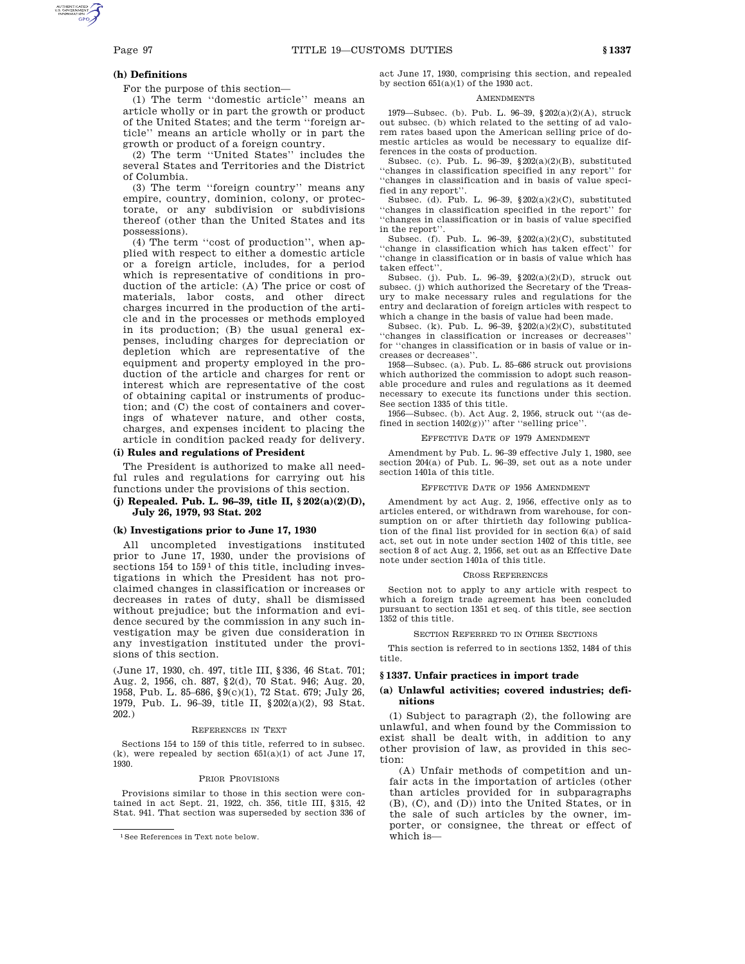# **(h) Definitions**

For the purpose of this section—

(1) The term ''domestic article'' means an article wholly or in part the growth or product of the United States; and the term ''foreign article'' means an article wholly or in part the growth or product of a foreign country.

(2) The term ''United States'' includes the several States and Territories and the District of Columbia.

(3) The term ''foreign country'' means any empire, country, dominion, colony, or protectorate, or any subdivision or subdivisions thereof (other than the United States and its possessions).

(4) The term ''cost of production'', when applied with respect to either a domestic article or a foreign article, includes, for a period which is representative of conditions in production of the article: (A) The price or cost of materials, labor costs, and other direct charges incurred in the production of the article and in the processes or methods employed in its production; (B) the usual general expenses, including charges for depreciation or depletion which are representative of the equipment and property employed in the production of the article and charges for rent or interest which are representative of the cost of obtaining capital or instruments of production; and (C) the cost of containers and coverings of whatever nature, and other costs, charges, and expenses incident to placing the article in condition packed ready for delivery.

### **(i) Rules and regulations of President**

The President is authorized to make all needful rules and regulations for carrying out his functions under the provisions of this section.

# **(j) Repealed. Pub. L. 96–39, title II, § 202(a)(2)(D), July 26, 1979, 93 Stat. 202**

### **(k) Investigations prior to June 17, 1930**

All uncompleted investigations instituted prior to June 17, 1930, under the provisions of sections  $154$  to  $159<sup>1</sup>$  of this title, including investigations in which the President has not proclaimed changes in classification or increases or decreases in rates of duty, shall be dismissed without prejudice; but the information and evidence secured by the commission in any such investigation may be given due consideration in any investigation instituted under the provisions of this section.

(June 17, 1930, ch. 497, title III, §336, 46 Stat. 701; Aug. 2, 1956, ch. 887, §2(d), 70 Stat. 946; Aug. 20, 1958, Pub. L. 85–686, §9(c)(1), 72 Stat. 679; July 26, 1979, Pub. L. 96–39, title II, §202(a)(2), 93 Stat. 202.)

## REFERENCES IN TEXT

Sections 154 to 159 of this title, referred to in subsec.  $(k)$ , were repealed by section  $651(a)(1)$  of act June 17, 1930.

#### PRIOR PROVISIONS

Provisions similar to those in this section were contained in act Sept. 21, 1922, ch. 356, title III, §315, 42 Stat. 941. That section was superseded by section 336 of act June 17, 1930, comprising this section, and repealed by section  $651(a)(1)$  of the 1930 act.

## **AMENDMENTS**

1979—Subsec. (b). Pub. L. 96–39, §202(a)(2)(A), struck out subsec. (b) which related to the setting of ad valorem rates based upon the American selling price of domestic articles as would be necessary to equalize differences in the costs of production.

Subsec. (c). Pub. L. 96–39, §202(a)(2)(B), substituted ''changes in classification specified in any report'' for ''changes in classification and in basis of value specified in any report''.

Subsec. (d). Pub. L. 96–39,  $\sqrt{202(a)(2)(C)}$ , substituted ''changes in classification specified in the report'' for ''changes in classification or in basis of value specified in the report''.

Subsec. (f). Pub. L. 96–39, §202(a)(2)(C), substituted "change in classification which has taken effect" for ''change in classification or in basis of value which has taken effect''.

Subsec. (j). Pub. L. 96–39, §202(a)(2)(D), struck out subsec. (i) which authorized the Secretary of the Treasury to make necessary rules and regulations for the entry and declaration of foreign articles with respect to which a change in the basis of value had been made.

Subsec. (k). Pub. L. 96–39, §202(a)(2)(C), substituted 'changes in classification or increases or decreases' for ''changes in classification or in basis of value or increases or decreases''.

1958—Subsec. (a). Pub. L. 85–686 struck out provisions which authorized the commission to adopt such reasonable procedure and rules and regulations as it deemed necessary to execute its functions under this section. See section 1335 of this title.

1956—Subsec. (b). Act Aug. 2, 1956, struck out ''(as defined in section 1402(g))'' after ''selling price''.

### EFFECTIVE DATE OF 1979 AMENDMENT

Amendment by Pub. L. 96–39 effective July 1, 1980, see section 204(a) of Pub. L. 96–39, set out as a note under section 1401a of this title.

## EFFECTIVE DATE OF 1956 AMENDMENT

Amendment by act Aug. 2, 1956, effective only as to articles entered, or withdrawn from warehouse, for consumption on or after thirtieth day following publication of the final list provided for in section 6(a) of said act, set out in note under section 1402 of this title, see section 8 of act Aug. 2, 1956, set out as an Effective Date note under section 1401a of this title.

## CROSS REFERENCES

Section not to apply to any article with respect to which a foreign trade agreement has been concluded pursuant to section 1351 et seq. of this title, see section 1352 of this title.

### SECTION REFERRED TO IN OTHER SECTIONS

This section is referred to in sections 1352, 1484 of this title.

## **§ 1337. Unfair practices in import trade**

## **(a) Unlawful activities; covered industries; definitions**

(1) Subject to paragraph (2), the following are unlawful, and when found by the Commission to exist shall be dealt with, in addition to any other provision of law, as provided in this section:

(A) Unfair methods of competition and unfair acts in the importation of articles (other than articles provided for in subparagraphs (B), (C), and (D)) into the United States, or in the sale of such articles by the owner, importer, or consignee, the threat or effect of which is—

<sup>1</sup>See References in Text note below.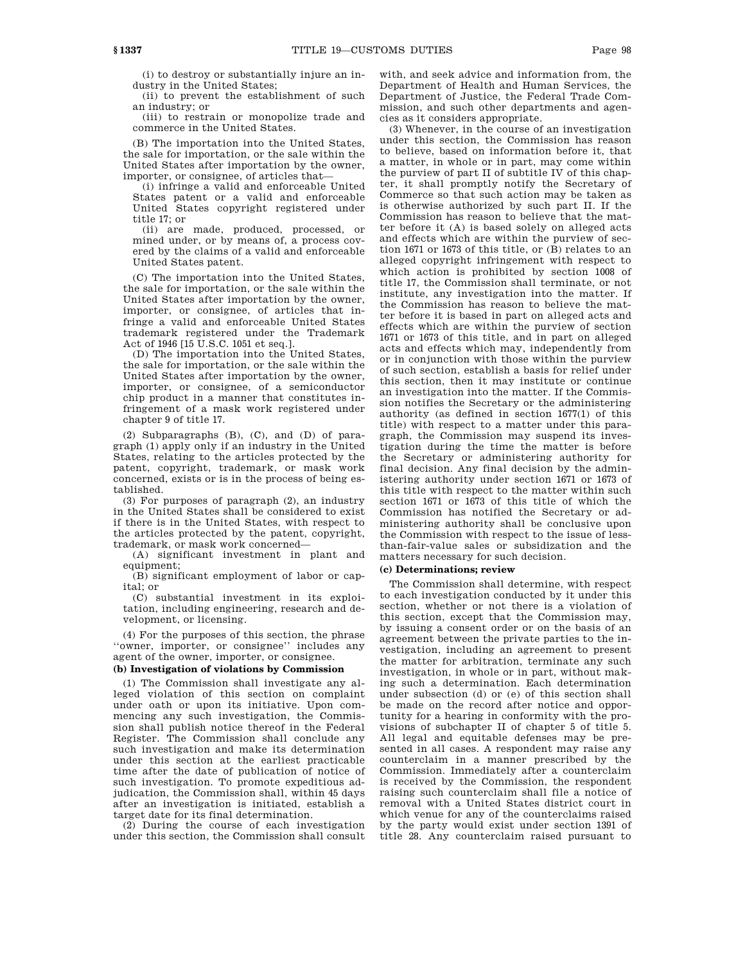(i) to destroy or substantially injure an industry in the United States;

(ii) to prevent the establishment of such an industry; or

(iii) to restrain or monopolize trade and commerce in the United States.

(B) The importation into the United States, the sale for importation, or the sale within the United States after importation by the owner, importer, or consignee, of articles that—

(i) infringe a valid and enforceable United States patent or a valid and enforceable United States copyright registered under title 17; or

(ii) are made, produced, processed, or mined under, or by means of, a process covered by the claims of a valid and enforceable United States patent.

(C) The importation into the United States, the sale for importation, or the sale within the United States after importation by the owner, importer, or consignee, of articles that infringe a valid and enforceable United States trademark registered under the Trademark Act of 1946 [15 U.S.C. 1051 et seq.].

(D) The importation into the United States, the sale for importation, or the sale within the United States after importation by the owner, importer, or consignee, of a semiconductor chip product in a manner that constitutes infringement of a mask work registered under chapter 9 of title 17.

(2) Subparagraphs (B), (C), and (D) of paragraph (1) apply only if an industry in the United States, relating to the articles protected by the patent, copyright, trademark, or mask work concerned, exists or is in the process of being established.

(3) For purposes of paragraph (2), an industry in the United States shall be considered to exist if there is in the United States, with respect to the articles protected by the patent, copyright, trademark, or mask work concerned—

(A) significant investment in plant and equipment;

(B) significant employment of labor or capital; or

(C) substantial investment in its exploitation, including engineering, research and development, or licensing.

(4) For the purposes of this section, the phrase ''owner, importer, or consignee'' includes any agent of the owner, importer, or consignee.

# **(b) Investigation of violations by Commission**

(1) The Commission shall investigate any alleged violation of this section on complaint under oath or upon its initiative. Upon commencing any such investigation, the Commission shall publish notice thereof in the Federal Register. The Commission shall conclude any such investigation and make its determination under this section at the earliest practicable time after the date of publication of notice of such investigation. To promote expeditious adjudication, the Commission shall, within 45 days after an investigation is initiated, establish a target date for its final determination.

(2) During the course of each investigation under this section, the Commission shall consult with, and seek advice and information from, the Department of Health and Human Services, the Department of Justice, the Federal Trade Commission, and such other departments and agencies as it considers appropriate.

(3) Whenever, in the course of an investigation under this section, the Commission has reason to believe, based on information before it, that a matter, in whole or in part, may come within the purview of part II of subtitle IV of this chapter, it shall promptly notify the Secretary of Commerce so that such action may be taken as is otherwise authorized by such part II. If the Commission has reason to believe that the matter before it (A) is based solely on alleged acts and effects which are within the purview of section 1671 or 1673 of this title, or (B) relates to an alleged copyright infringement with respect to which action is prohibited by section 1008 of title 17, the Commission shall terminate, or not institute, any investigation into the matter. If the Commission has reason to believe the matter before it is based in part on alleged acts and effects which are within the purview of section 1671 or 1673 of this title, and in part on alleged acts and effects which may, independently from or in conjunction with those within the purview of such section, establish a basis for relief under this section, then it may institute or continue an investigation into the matter. If the Commission notifies the Secretary or the administering authority (as defined in section 1677(1) of this title) with respect to a matter under this paragraph, the Commission may suspend its investigation during the time the matter is before the Secretary or administering authority for final decision. Any final decision by the administering authority under section 1671 or 1673 of this title with respect to the matter within such section 1671 or 1673 of this title of which the Commission has notified the Secretary or administering authority shall be conclusive upon the Commission with respect to the issue of lessthan-fair-value sales or subsidization and the matters necessary for such decision.

### **(c) Determinations; review**

The Commission shall determine, with respect to each investigation conducted by it under this section, whether or not there is a violation of this section, except that the Commission may, by issuing a consent order or on the basis of an agreement between the private parties to the investigation, including an agreement to present the matter for arbitration, terminate any such investigation, in whole or in part, without making such a determination. Each determination under subsection (d) or (e) of this section shall be made on the record after notice and opportunity for a hearing in conformity with the provisions of subchapter II of chapter 5 of title 5. All legal and equitable defenses may be presented in all cases. A respondent may raise any counterclaim in a manner prescribed by the Commission. Immediately after a counterclaim is received by the Commission, the respondent raising such counterclaim shall file a notice of removal with a United States district court in which venue for any of the counterclaims raised by the party would exist under section 1391 of title 28. Any counterclaim raised pursuant to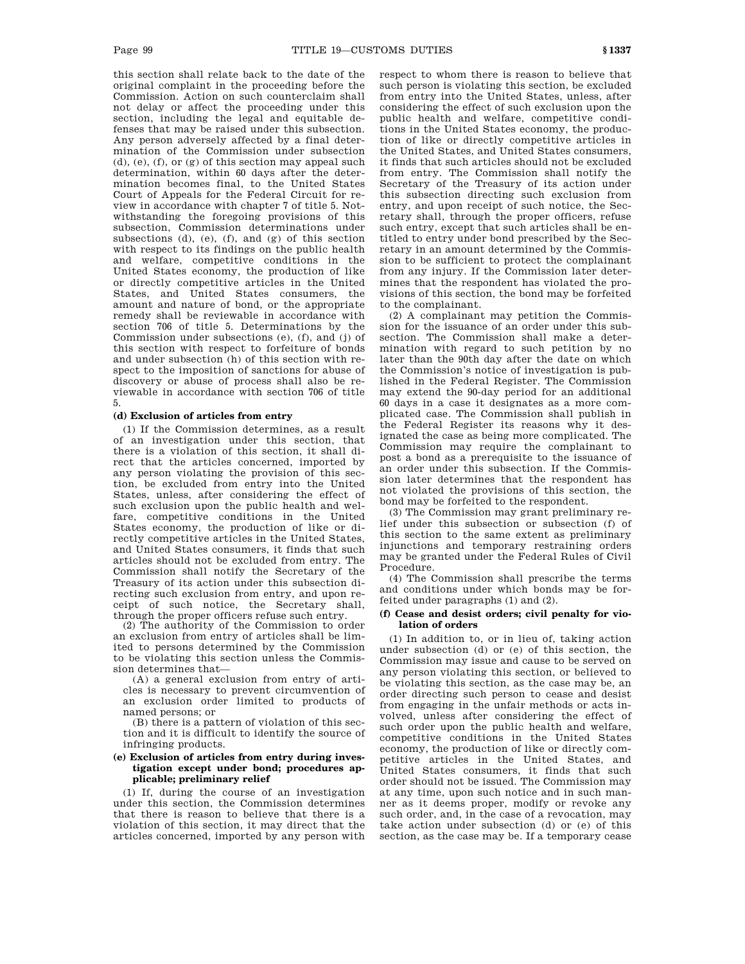this section shall relate back to the date of the original complaint in the proceeding before the Commission. Action on such counterclaim shall not delay or affect the proceeding under this section, including the legal and equitable defenses that may be raised under this subsection. Any person adversely affected by a final determination of the Commission under subsection (d), (e), (f), or (g) of this section may appeal such determination, within 60 days after the determination becomes final, to the United States Court of Appeals for the Federal Circuit for review in accordance with chapter 7 of title 5. Notwithstanding the foregoing provisions of this subsection, Commission determinations under subsections (d), (e), (f), and (g) of this section with respect to its findings on the public health and welfare, competitive conditions in the United States economy, the production of like or directly competitive articles in the United States, and United States consumers, the amount and nature of bond, or the appropriate remedy shall be reviewable in accordance with section 706 of title 5. Determinations by the Commission under subsections (e), (f), and (j) of this section with respect to forfeiture of bonds and under subsection (h) of this section with respect to the imposition of sanctions for abuse of discovery or abuse of process shall also be reviewable in accordance with section 706 of title 5.

## **(d) Exclusion of articles from entry**

(1) If the Commission determines, as a result of an investigation under this section, that there is a violation of this section, it shall direct that the articles concerned, imported by any person violating the provision of this section, be excluded from entry into the United States, unless, after considering the effect of such exclusion upon the public health and welfare, competitive conditions in the United States economy, the production of like or directly competitive articles in the United States, and United States consumers, it finds that such articles should not be excluded from entry. The Commission shall notify the Secretary of the Treasury of its action under this subsection directing such exclusion from entry, and upon receipt of such notice, the Secretary shall, through the proper officers refuse such entry.

(2) The authority of the Commission to order an exclusion from entry of articles shall be limited to persons determined by the Commission to be violating this section unless the Commission determines that—

(A) a general exclusion from entry of articles is necessary to prevent circumvention of an exclusion order limited to products of named persons; or

(B) there is a pattern of violation of this section and it is difficult to identify the source of infringing products.

# **(e) Exclusion of articles from entry during investigation except under bond; procedures applicable; preliminary relief**

(1) If, during the course of an investigation under this section, the Commission determines that there is reason to believe that there is a violation of this section, it may direct that the articles concerned, imported by any person with respect to whom there is reason to believe that such person is violating this section, be excluded from entry into the United States, unless, after considering the effect of such exclusion upon the public health and welfare, competitive conditions in the United States economy, the production of like or directly competitive articles in the United States, and United States consumers, it finds that such articles should not be excluded from entry. The Commission shall notify the Secretary of the Treasury of its action under this subsection directing such exclusion from entry, and upon receipt of such notice, the Secretary shall, through the proper officers, refuse such entry, except that such articles shall be entitled to entry under bond prescribed by the Secretary in an amount determined by the Commission to be sufficient to protect the complainant from any injury. If the Commission later determines that the respondent has violated the provisions of this section, the bond may be forfeited to the complainant.

(2) A complainant may petition the Commission for the issuance of an order under this subsection. The Commission shall make a determination with regard to such petition by no later than the 90th day after the date on which the Commission's notice of investigation is published in the Federal Register. The Commission may extend the 90-day period for an additional 60 days in a case it designates as a more complicated case. The Commission shall publish in the Federal Register its reasons why it designated the case as being more complicated. The Commission may require the complainant to post a bond as a prerequisite to the issuance of an order under this subsection. If the Commission later determines that the respondent has not violated the provisions of this section, the bond may be forfeited to the respondent.

(3) The Commission may grant preliminary relief under this subsection or subsection (f) of this section to the same extent as preliminary injunctions and temporary restraining orders may be granted under the Federal Rules of Civil Procedure.

(4) The Commission shall prescribe the terms and conditions under which bonds may be forfeited under paragraphs (1) and (2).

# **(f) Cease and desist orders; civil penalty for violation of orders**

(1) In addition to, or in lieu of, taking action under subsection (d) or (e) of this section, the Commission may issue and cause to be served on any person violating this section, or believed to be violating this section, as the case may be, an order directing such person to cease and desist from engaging in the unfair methods or acts involved, unless after considering the effect of such order upon the public health and welfare, competitive conditions in the United States economy, the production of like or directly competitive articles in the United States, and United States consumers, it finds that such order should not be issued. The Commission may at any time, upon such notice and in such manner as it deems proper, modify or revoke any such order, and, in the case of a revocation, may take action under subsection (d) or (e) of this section, as the case may be. If a temporary cease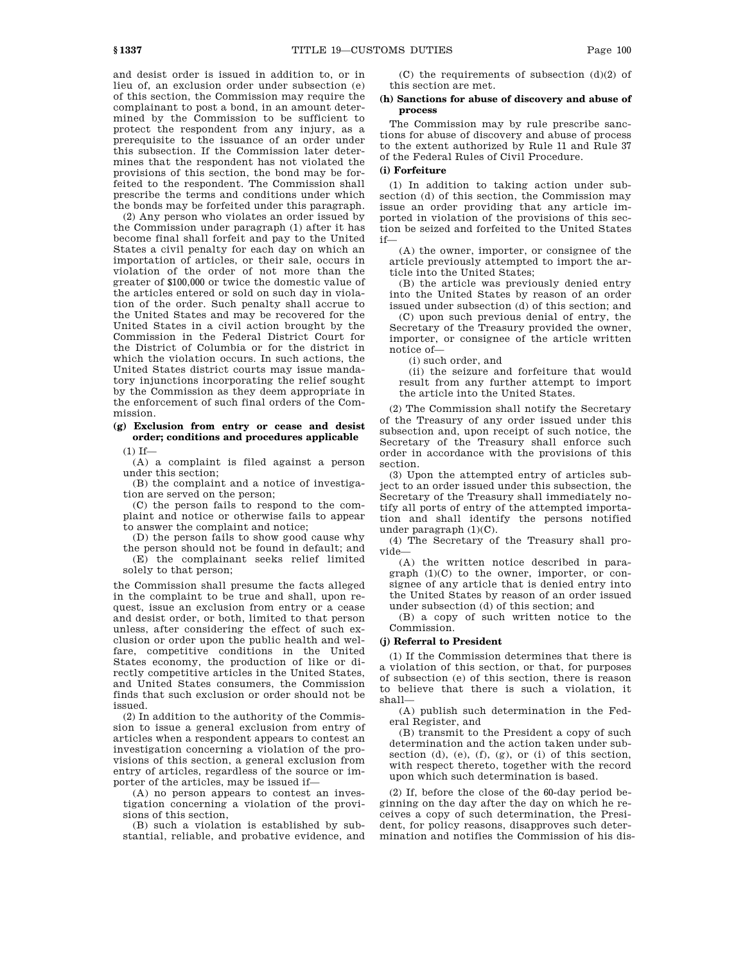and desist order is issued in addition to, or in lieu of, an exclusion order under subsection (e) of this section, the Commission may require the complainant to post a bond, in an amount determined by the Commission to be sufficient to protect the respondent from any injury, as a prerequisite to the issuance of an order under this subsection. If the Commission later determines that the respondent has not violated the provisions of this section, the bond may be forfeited to the respondent. The Commission shall prescribe the terms and conditions under which the bonds may be forfeited under this paragraph.

(2) Any person who violates an order issued by the Commission under paragraph (1) after it has become final shall forfeit and pay to the United States a civil penalty for each day on which an importation of articles, or their sale, occurs in violation of the order of not more than the greater of \$100,000 or twice the domestic value of the articles entered or sold on such day in violation of the order. Such penalty shall accrue to the United States and may be recovered for the United States in a civil action brought by the Commission in the Federal District Court for the District of Columbia or for the district in which the violation occurs. In such actions, the United States district courts may issue mandatory injunctions incorporating the relief sought by the Commission as they deem appropriate in the enforcement of such final orders of the Commission.

**(g) Exclusion from entry or cease and desist order; conditions and procedures applicable**  $(1)$  If-

(A) a complaint is filed against a person under this section;

(B) the complaint and a notice of investigation are served on the person;

(C) the person fails to respond to the complaint and notice or otherwise fails to appear to answer the complaint and notice;

(D) the person fails to show good cause why the person should not be found in default; and (E) the complainant seeks relief limited

solely to that person;

the Commission shall presume the facts alleged in the complaint to be true and shall, upon request, issue an exclusion from entry or a cease and desist order, or both, limited to that person unless, after considering the effect of such exclusion or order upon the public health and welfare, competitive conditions in the United States economy, the production of like or directly competitive articles in the United States, and United States consumers, the Commission finds that such exclusion or order should not be issued.

(2) In addition to the authority of the Commission to issue a general exclusion from entry of articles when a respondent appears to contest an investigation concerning a violation of the provisions of this section, a general exclusion from entry of articles, regardless of the source or importer of the articles, may be issued if—

(A) no person appears to contest an investigation concerning a violation of the provisions of this section,

(B) such a violation is established by substantial, reliable, and probative evidence, and

(C) the requirements of subsection  $(d)(2)$  of this section are met.

# **(h) Sanctions for abuse of discovery and abuse of process**

The Commission may by rule prescribe sanctions for abuse of discovery and abuse of process to the extent authorized by Rule 11 and Rule 37 of the Federal Rules of Civil Procedure.

# **(i) Forfeiture**

(1) In addition to taking action under subsection (d) of this section, the Commission may issue an order providing that any article imported in violation of the provisions of this section be seized and forfeited to the United States if—

(A) the owner, importer, or consignee of the article previously attempted to import the article into the United States;

(B) the article was previously denied entry into the United States by reason of an order issued under subsection (d) of this section; and

(C) upon such previous denial of entry, the Secretary of the Treasury provided the owner, importer, or consignee of the article written notice of—

(i) such order, and

(ii) the seizure and forfeiture that would result from any further attempt to import the article into the United States.

(2) The Commission shall notify the Secretary of the Treasury of any order issued under this subsection and, upon receipt of such notice, the Secretary of the Treasury shall enforce such order in accordance with the provisions of this section.

(3) Upon the attempted entry of articles subject to an order issued under this subsection, the Secretary of the Treasury shall immediately notify all ports of entry of the attempted importation and shall identify the persons notified under paragraph (1)(C).

(4) The Secretary of the Treasury shall provide—

(A) the written notice described in paragraph (1)(C) to the owner, importer, or consignee of any article that is denied entry into the United States by reason of an order issued under subsection (d) of this section; and

(B) a copy of such written notice to the Commission.

## **(j) Referral to President**

(1) If the Commission determines that there is a violation of this section, or that, for purposes of subsection (e) of this section, there is reason to believe that there is such a violation, it shall—

(A) publish such determination in the Federal Register, and

(B) transmit to the President a copy of such determination and the action taken under subsection (d), (e), (f), (g), or (i) of this section, with respect thereto, together with the record upon which such determination is based.

(2) If, before the close of the 60-day period beginning on the day after the day on which he receives a copy of such determination, the President, for policy reasons, disapproves such determination and notifies the Commission of his dis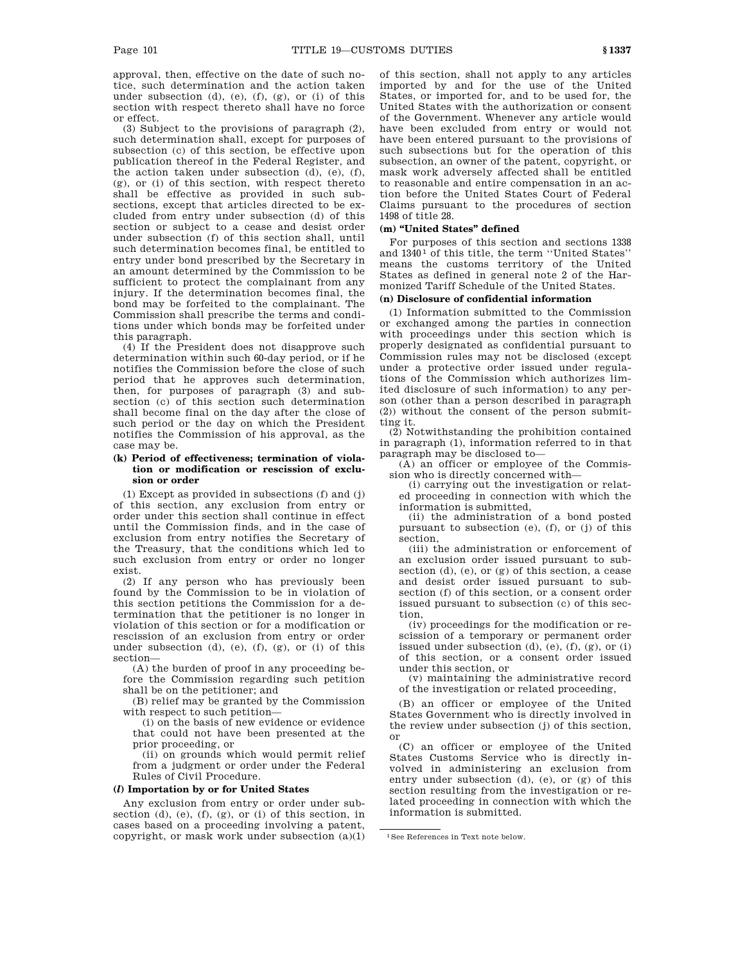approval, then, effective on the date of such notice, such determination and the action taken under subsection  $(d)$ ,  $(e)$ ,  $(f)$ ,  $(g)$ ,  $o\bar{r}$  (i) of this section with respect thereto shall have no force or effect.

(3) Subject to the provisions of paragraph (2), such determination shall, except for purposes of subsection (c) of this section, be effective upon publication thereof in the Federal Register, and the action taken under subsection (d), (e), (f), (g), or (i) of this section, with respect thereto shall be effective as provided in such subsections, except that articles directed to be excluded from entry under subsection (d) of this section or subject to a cease and desist order under subsection (f) of this section shall, until such determination becomes final, be entitled to entry under bond prescribed by the Secretary in an amount determined by the Commission to be sufficient to protect the complainant from any injury. If the determination becomes final, the bond may be forfeited to the complainant. The Commission shall prescribe the terms and conditions under which bonds may be forfeited under this paragraph.

(4) If the President does not disapprove such determination within such 60-day period, or if he notifies the Commission before the close of such period that he approves such determination, then, for purposes of paragraph (3) and subsection (c) of this section such determination shall become final on the day after the close of such period or the day on which the President notifies the Commission of his approval, as the case may be.

# **(k) Period of effectiveness; termination of violation or modification or rescission of exclusion or order**

(1) Except as provided in subsections (f) and (j) of this section, any exclusion from entry or order under this section shall continue in effect until the Commission finds, and in the case of exclusion from entry notifies the Secretary of the Treasury, that the conditions which led to such exclusion from entry or order no longer exist.

(2) If any person who has previously been found by the Commission to be in violation of this section petitions the Commission for a determination that the petitioner is no longer in violation of this section or for a modification or rescission of an exclusion from entry or order under subsection (d), (e), (f), (g), or (i) of this section—

(A) the burden of proof in any proceeding before the Commission regarding such petition shall be on the petitioner; and

(B) relief may be granted by the Commission with respect to such petition—

(i) on the basis of new evidence or evidence that could not have been presented at the prior proceeding, or

(ii) on grounds which would permit relief from a judgment or order under the Federal Rules of Civil Procedure.

## **(***l***) Importation by or for United States**

Any exclusion from entry or order under subsection (d), (e), (f), (g), or (i) of this section, in cases based on a proceeding involving a patent, copyright, or mask work under subsection (a)(1) of this section, shall not apply to any articles imported by and for the use of the United States, or imported for, and to be used for, the United States with the authorization or consent of the Government. Whenever any article would have been excluded from entry or would not have been entered pursuant to the provisions of such subsections but for the operation of this subsection, an owner of the patent, copyright, or mask work adversely affected shall be entitled to reasonable and entire compensation in an action before the United States Court of Federal Claims pursuant to the procedures of section 1498 of title 28.

# **(m) ''United States'' defined**

For purposes of this section and sections 1338 and 1340<sup>1</sup> of this title, the term "United States" means the customs territory of the United States as defined in general note 2 of the Harmonized Tariff Schedule of the United States.

# **(n) Disclosure of confidential information**

(1) Information submitted to the Commission or exchanged among the parties in connection with proceedings under this section which is properly designated as confidential pursuant to Commission rules may not be disclosed (except under a protective order issued under regulations of the Commission which authorizes limited disclosure of such information) to any person (other than a person described in paragraph (2)) without the consent of the person submitting it.

(2) Notwithstanding the prohibition contained in paragraph (1), information referred to in that paragraph may be disclosed to—

(A) an officer or employee of the Commission who is directly concerned with—

(i) carrying out the investigation or related proceeding in connection with which the information is submitted,

(ii) the administration of a bond posted pursuant to subsection (e), (f), or (j) of this section,

(iii) the administration or enforcement of an exclusion order issued pursuant to subsection (d), (e), or (g) of this section, a cease and desist order issued pursuant to subsection (f) of this section, or a consent order issued pursuant to subsection (c) of this section,

(iv) proceedings for the modification or rescission of a temporary or permanent order issued under subsection  $(d)$ ,  $(e)$ ,  $(f)$ ,  $(g)$ ,  $or$   $(i)$ of this section, or a consent order issued under this section, or

(v) maintaining the administrative record of the investigation or related proceeding,

(B) an officer or employee of the United States Government who is directly involved in the review under subsection (j) of this section, or

(C) an officer or employee of the United States Customs Service who is directly involved in administering an exclusion from entry under subsection (d), (e), or (g) of this section resulting from the investigation or related proceeding in connection with which the information is submitted.

<sup>1</sup>See References in Text note below.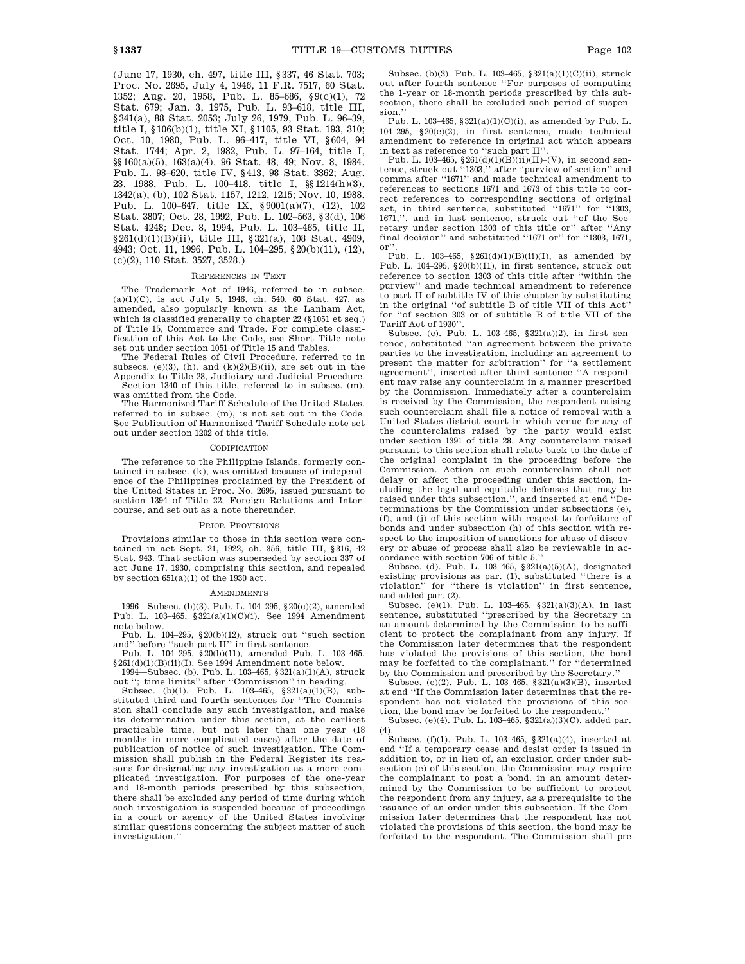(June 17, 1930, ch. 497, title III, §337, 46 Stat. 703; Proc. No. 2695, July 4, 1946, 11 F.R. 7517, 60 Stat. 1352; Aug. 20, 1958, Pub. L. 85–686, §9(c)(1), 72 Stat. 679; Jan. 3, 1975, Pub. L. 93–618, title III, §341(a), 88 Stat. 2053; July 26, 1979, Pub. L. 96–39, title I, §106(b)(1), title XI, §1105, 93 Stat. 193, 310; Oct. 10, 1980, Pub. L. 96–417, title VI, §604, 94 Stat. 1744; Apr. 2, 1982, Pub. L. 97–164, title I, §§160(a)(5), 163(a)(4), 96 Stat. 48, 49; Nov. 8, 1984, Pub. L. 98–620, title IV, §413, 98 Stat. 3362; Aug. 23, 1988, Pub. L. 100–418, title I, §§1214(h)(3), 1342(a), (b), 102 Stat. 1157, 1212, 1215; Nov. 10, 1988, Pub. L. 100–647, title IX, §9001(a)(7), (12), 102 Stat. 3807; Oct. 28, 1992, Pub. L. 102–563, §3(d), 106 Stat. 4248; Dec. 8, 1994, Pub. L. 103–465, title II, §261(d)(1)(B)(ii), title III, §321(a), 108 Stat. 4909, 4943; Oct. 11, 1996, Pub. L. 104–295, §20(b)(11), (12), (c)(2), 110 Stat. 3527, 3528.)

### REFERENCES IN TEXT

The Trademark Act of 1946, referred to in subsec.  $(a)(1)(C)$ , is act July 5, 1946, ch. 540, 60 Stat. 427, as amended, also popularly known as the Lanham Act, which is classified generally to chapter 22 (§1051 et seq.) of Title 15, Commerce and Trade. For complete classification of this Act to the Code, see Short Title note set out under section 1051 of Title 15 and Tables.

The Federal Rules of Civil Procedure, referred to in subsecs. (e)(3), (h), and  $(k)(2)(B)(ii)$ , are set out in the Appendix to Title 28, Judiciary and Judicial Procedure. ection 1340 of this title, referred to in subsec. (m), was omitted from the Code.

The Harmonized Tariff Schedule of the United States, referred to in subsec. (m), is not set out in the Code. See Publication of Harmonized Tariff Schedule note set out under section 1202 of this title.

#### **CODIFICATION**

The reference to the Philippine Islands, formerly contained in subsec. (k), was omitted because of independence of the Philippines proclaimed by the President of the United States in Proc. No. 2695, issued pursuant to section 1394 of Title 22, Foreign Relations and Intercourse, and set out as a note thereunder.

#### PRIOR PROVISIONS

Provisions similar to those in this section were contained in act Sept. 21, 1922, ch. 356, title III, §316, 42 Stat. 943. That section was superseded by section 337 of act June 17, 1930, comprising this section, and repealed by section  $651(a)(1)$  of the 1930 act.

#### AMENDMENTS

1996—Subsec. (b)(3). Pub. L. 104–295, §20(c)(2), amended Pub. L. 103–465, §321(a)(1)(C)(i). See 1994 Amendment note below.

Pub. L. 104–295, §20(b)(12), struck out ''such section and'' before ''such part II'' in first sentence. Pub. L. 104–295, §20(b)(11), amended Pub. L. 103–465,

§261(d)(1)(B)(ii)(I). See 1994 Amendment note below.

1994—Subsec. (b). Pub. L. 103–465, §321(a)(1)(A), struck out ''; time limits'' after ''Commission'' in heading.

Subsec. (b)(1). Pub. L. 103–465, §321(a)(1)(B), substituted third and fourth sentences for ''The Commission shall conclude any such investigation, and make its determination under this section, at the earliest practicable time, but not later than one year (18 months in more complicated cases) after the date of publication of notice of such investigation. The Commission shall publish in the Federal Register its reasons for designating any investigation as a more complicated investigation. For purposes of the one-year and 18-month periods prescribed by this subsection, there shall be excluded any period of time during which such investigation is suspended because of proceedings in a court or agency of the United States involving similar questions concerning the subject matter of such investigation.''

Subsec. (b)(3). Pub. L. 103–465, §321(a)(1)(C)(ii), struck out after fourth sentence ''For purposes of computing the 1-year or 18-month periods prescribed by this subsection, there shall be excluded such period of suspension.''

Pub. L. 103–465, §321(a)(1)(C)(i), as amended by Pub. L. 104–295, §20(c)(2), in first sentence, made technical amendment to reference in original act which appears in text as reference to ''such part II''.

Pub. L. 103–465,  $$261(d)(1)(B)(ii)(II)–(V)$ , in second sentence, struck out ''1303,'' after ''purview of section'' and comma after ''1671'' and made technical amendment to references to sections 1671 and 1673 of this title to correct references to corresponding sections of original act, in third sentence, substituted ''1671'' for ''1303, 1671,'', and in last sentence, struck out ''of the Secretary under section 1303 of this title or'' after ''Any final decision'' and substituted ''1671 or'' for ''1303, 1671, or''.

Pub. L. 103-465,  $$261(d)(1)(B)(ii)(I)$ , as amended by Pub. L. 104–295, §20(b)(11), in first sentence, struck out reference to section 1303 of this title after ''within the purview'' and made technical amendment to reference to part II of subtitle IV of this chapter by substituting in the original ''of subtitle B of title VII of this Act'' for ''of section 303 or of subtitle B of title VII of the Tariff Act of 1930''.

Subsec. (c). Pub. L. 103–465, §321(a)(2), in first sentence, substituted ''an agreement between the private parties to the investigation, including an agreement to present the matter for arbitration'' for ''a settlement agreement'', inserted after third sentence ''A respondent may raise any counterclaim in a manner prescribed by the Commission. Immediately after a counterclaim is received by the Commission, the respondent raising such counterclaim shall file a notice of removal with a United States district court in which venue for any of the counterclaims raised by the party would exist under section 1391 of title 28. Any counterclaim raised pursuant to this section shall relate back to the date of the original complaint in the proceeding before the Commission. Action on such counterclaim shall not delay or affect the proceeding under this section, including the legal and equitable defenses that may be raised under this subsection.'', and inserted at end ''Determinations by the Commission under subsections (e), (f), and (j) of this section with respect to forfeiture of bonds and under subsection (h) of this section with respect to the imposition of sanctions for abuse of discovery or abuse of process shall also be reviewable in accordance with section 706 of title 5.''

Subsec. (d). Pub. L. 103–465, §321(a)(5)(A), designated existing provisions as par. (1), substituted ''there is a violation'' for ''there is violation'' in first sentence, and added par. (2).

Subsec. (e)(1). Pub. L. 103–465, §321(a)(3)(A), in last sentence, substituted "prescribed by the Secretary in an amount determined by the Commission to be sufficient to protect the complainant from any injury. If the Commission later determines that the respondent has violated the provisions of this section, the bond may be forfeited to the complainant.'' for ''determined by the Commission and prescribed by the Secretary.''

Subsec. (e)(2). Pub. L. 103–465, §321(a)(3)(B), inserted at end ''If the Commission later determines that the respondent has not violated the provisions of this section, the bond may be forfeited to the respondent.''

Subsec. (e)(4). Pub. L. 103–465, §321(a)(3)(C), added par.  $(4).$ 

Subsec. (f)(1). Pub. L. 103–465, §321(a)(4), inserted at end ''If a temporary cease and desist order is issued in addition to, or in lieu of, an exclusion order under subsection (e) of this section, the Commission may require the complainant to post a bond, in an amount determined by the Commission to be sufficient to protect the respondent from any injury, as a prerequisite to the issuance of an order under this subsection. If the Commission later determines that the respondent has not violated the provisions of this section, the bond may be forfeited to the respondent. The Commission shall pre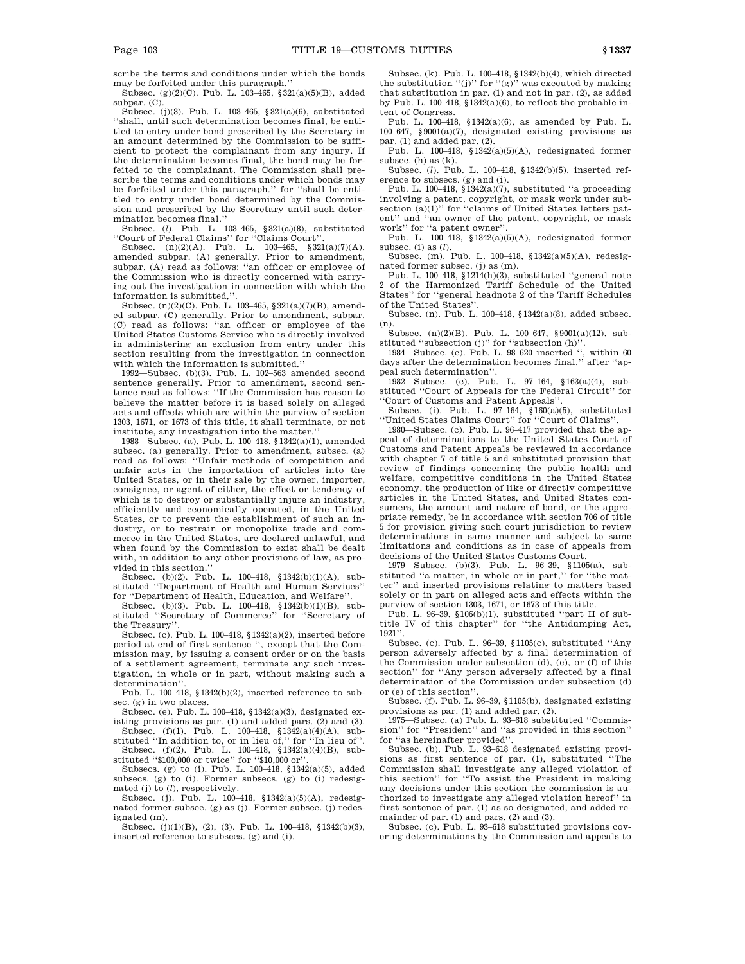scribe the terms and conditions under which the bonds may be forfeited under this paragraph.

Subsec. (g)(2)(C). Pub. L. 103–465, §321(a)(5)(B), added subpar. (C).

Subsec. (j)(3). Pub. L. 103–465, §321(a)(6), substituted ''shall, until such determination becomes final, be entitled to entry under bond prescribed by the Secretary in an amount determined by the Commission to be sufficient to protect the complainant from any injury. If the determination becomes final, the bond may be forfeited to the complainant. The Commission shall prescribe the terms and conditions under which bonds may be forfeited under this paragraph.'' for ''shall be entitled to entry under bond determined by the Commission and prescribed by the Secretary until such determination becomes final.''

Subsec. (*l*). Pub. L. 103–465, §321(a)(8), substituted ''Court of Federal Claims'' for ''Claims Court''.

Subsec. (n)(2)(A). Pub. L. 103–465, §321(a)(7)(A), amended subpar. (A) generally. Prior to amendment, subpar. (A) read as follows: ''an officer or employee of the Commission who is directly concerned with carrying out the investigation in connection with which the information is submitted,'

Subsec. (n)(2)(C). Pub. L. 103–465, §321(a)(7)(B), amended subpar. (C) generally. Prior to amendment, subpar. (C) read as follows: ''an officer or employee of the United States Customs Service who is directly involved in administering an exclusion from entry under this section resulting from the investigation in connection with which the information is submitted.''

1992—Subsec. (b)(3). Pub. L. 102–563 amended second sentence generally. Prior to amendment, second sentence read as follows: ''If the Commission has reason to believe the matter before it is based solely on alleged acts and effects which are within the purview of section 1303, 1671, or 1673 of this title, it shall terminate, or not institute, any investigation into the matter.''

1988—Subsec. (a). Pub. L. 100–418, §1342(a)(1), amended subsec. (a) generally. Prior to amendment, subsec. (a) read as follows: ''Unfair methods of competition and unfair acts in the importation of articles into the United States, or in their sale by the owner, importer, consignee, or agent of either, the effect or tendency of which is to destroy or substantially injure an industry, efficiently and economically operated, in the United States, or to prevent the establishment of such an industry, or to restrain or monopolize trade and commerce in the United States, are declared unlawful, and when found by the Commission to exist shall be dealt with, in addition to any other provisions of law, as provided in this section.''

Subsec. (b)(2). Pub. L. 100–418, §1342(b)(1)(A), substituted ''Department of Health and Human Services'' for ''Department of Health, Education, and Welfare''.

Subsec. (b)(3). Pub. L. 100–418, §1342(b)(1)(B), substituted ''Secretary of Commerce'' for ''Secretary of the Treasury''.

Subsec. (c). Pub. L. 100–418, §1342(a)(2), inserted before period at end of first sentence '', except that the Commission may, by issuing a consent order or on the basis of a settlement agreement, terminate any such investigation, in whole or in part, without making such a determination''.

Pub. L. 100–418, §1342(b)(2), inserted reference to subsec. (g) in two places.

Subsec. (e). Pub. L. 100-418, §1342(a)(3), designated existing provisions as par. (1) and added pars. (2) and (3). Subsec. (f)(1). Pub. L. 100–418, §1342(a)(4)(A), sub-

stituted ''In addition to, or in lieu of,'' for ''In lieu of''. Subsec. (f)(2). Pub. L. 100–418, §1342(a)(4)(B), sub-

stituted ''\$100,000 or twice'' for ''\$10,000 or''. Subsecs. (g) to (i). Pub. L. 100–418, §1342(a)(5), added subsecs. (g) to (i). Former subsecs. (g) to (i) redesignated (j) to (*l*), respectively.

Subsec. (j). Pub. L. 100–418, §1342(a)(5)(A), redesignated former subsec. (g) as (j). Former subsec. (j) redesignated (m).

Subsec. (j)(1)(B), (2), (3). Pub. L. 100–418, §1342(b)(3), inserted reference to subsecs. (g) and (i).

Subsec. (k). Pub. L. 100–418, §1342(b)(4), which directed the substitution "(j)" for " $(g)$ " was executed by making that substitution in par. (1) and not in par. (2), as added by Pub. L. 100-418,  $$1342(a)(6)$ , to reflect the probable intent of Congress.

Pub. L. 100–418, §1342(a)(6), as amended by Pub. L. 100–647, §9001(a)(7), designated existing provisions as par. (1) and added par. (2).

Pub. L. 100–418, §1342(a)(5)(A), redesignated former subsec. (h) as (k).

Subsec. (*l*). Pub. L. 100–418, §1342(b)(5), inserted reference to subsecs. (g) and (i).

Pub. L. 100–418, §1342(a)(7), substituted ''a proceeding involving a patent, copyright, or mask work under subsection (a)(1)" for "claims of United States letters patent'' and ''an owner of the patent, copyright, or mask work'' for ''a patent owner''.

Pub. L.  $100-418$ ,  $$1342(a)(5)(A)$ , redesignated former subsec. (i) as (*l*).

Subsec. (m). Pub. L. 100–418, §1342(a)(5)(A), redesignated former subsec. (j) as (m).

Pub. L. 100–418, §1214(h)(3), substituted ''general note 2 of the Harmonized Tariff Schedule of the United States'' for ''general headnote 2 of the Tariff Schedules of the United States''.

Subsec. (n). Pub. L. 100–418, §1342(a)(8), added subsec. (n).

Subsec. (n)(2)(B). Pub. L. 100–647, §9001(a)(12), sub-

stituted ''subsection (j)'' for ''subsection (h)''. 1984—Subsec. (c). Pub. L. 98–620 inserted '', within 60 days after the determination becomes final,'' after ''appeal such determination''.

1982—Subsec. (c). Pub. L. 97–164, §163(a)(4), substituted ''Court of Appeals for the Federal Circuit'' for ''Court of Customs and Patent Appeals''.

Subsec. (i). Pub. L. 97–164, §160(a)(5), substituted ''United States Claims Court'' for ''Court of Claims''.

1980—Subsec. (c). Pub. L. 96–417 provided that the appeal of determinations to the United States Court of Customs and Patent Appeals be reviewed in accordance with chapter 7 of title 5 and substituted provision that review of findings concerning the public health and welfare, competitive conditions in the United States economy, the production of like or directly competitive articles in the United States, and United States consumers, the amount and nature of bond, or the appropriate remedy, be in accordance with section 706 of title 5 for provision giving such court jurisdiction to review determinations in same manner and subject to same limitations and conditions as in case of appeals from decisions of the United States Customs Court.

1979—Subsec. (b)(3). Pub. L. 96–39, §1105(a), substituted ''a matter, in whole or in part,'' for ''the matter'' and inserted provisions relating to matters based solely or in part on alleged acts and effects within the purview of section 1303, 1671, or 1673 of this title.

Pub. L. 96-39, §106(b)(1), substituted "part II of subtitle IV of this chapter'' for ''the Antidumping Act, 1921''.

Subsec. (c). Pub. L. 96–39, §1105(c), substituted ''Any person adversely affected by a final determination of the Commission under subsection (d), (e), or (f) of this section'' for ''Any person adversely affected by a final determination of the Commission under subsection (d) or (e) of this section''.

Subsec. (f). Pub. L. 96–39, §1105(b), designated existing provisions as par. (1) and added par. (2).

1975—Subsec. (a) Pub. L. 93–618 substituted ''Commission'' for ''President'' and ''as provided in this section'' for "as hereinafter provided"

Subsec. (b). Pub. L. 93–618 designated existing provisions as first sentence of par. (1), substituted ''The Commission shall investigate any alleged violation of this section'' for ''To assist the President in making any decisions under this section the commission is authorized to investigate any alleged violation hereof'' in first sentence of par. (1) as so designated, and added remainder of par. (1) and pars. (2) and (3).

Subsec. (c). Pub. L. 93–618 substituted provisions covering determinations by the Commission and appeals to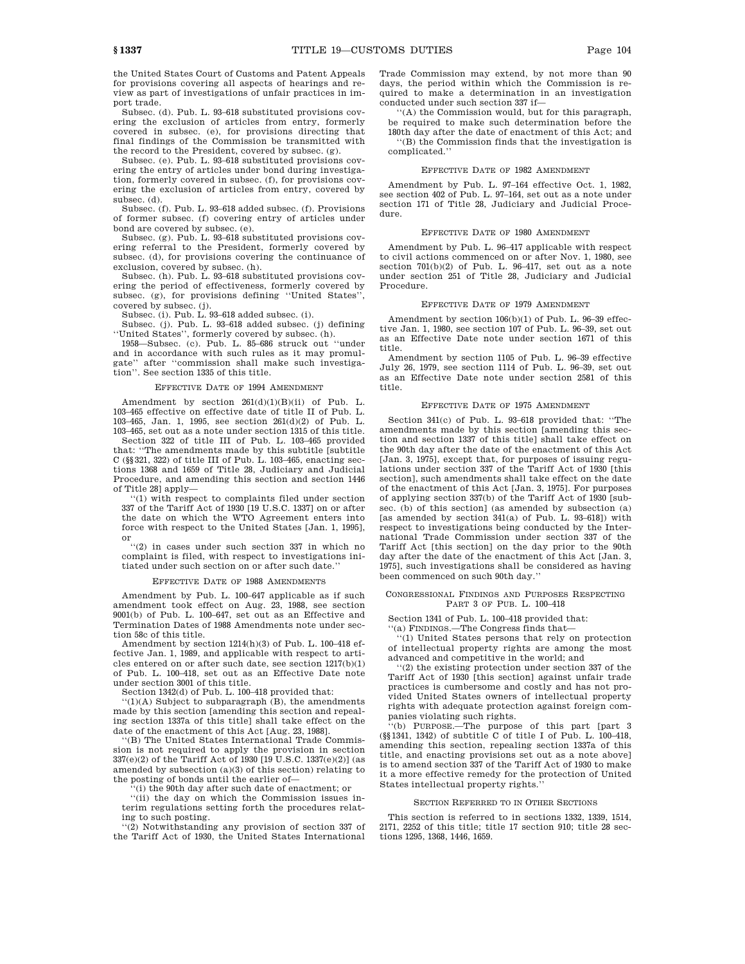the United States Court of Customs and Patent Appeals for provisions covering all aspects of hearings and review as part of investigations of unfair practices in import trade.

Subsec. (d). Pub. L. 93–618 substituted provisions covering the exclusion of articles from entry, formerly covered in subsec. (e), for provisions directing that final findings of the Commission be transmitted with the record to the President, covered by subsec. (g).

Subsec. (e). Pub. L. 93–618 substituted provisions covering the entry of articles under bond during investigation, formerly covered in subsec. (f), for provisions covering the exclusion of articles from entry, covered by subsec. (d).

Subsec. (f). Pub. L. 93–618 added subsec. (f). Provisions of former subsec. (f) covering entry of articles under bond are covered by subsec. (e).

Subsec. (g). Pub. L. 93–618 substituted provisions covering referral to the President, formerly covered by subsec. (d), for provisions covering the continuance of exclusion, covered by subsec. (h).

Subsec. (h). Pub. L. 93–618 substituted provisions covering the period of effectiveness, formerly covered by subsec. (g), for provisions defining ''United States'', covered by subsec. (j).

Subsec. (i). Pub. L. 93–618 added subsec. (i).

Subsec. (j). Pub. L. 93–618 added subsec. (j) defining

''United States'', formerly covered by subsec. (h). 1958—Subsec. (c). Pub. L. 85–686 struck out ''under and in accordance with such rules as it may promulgate'' after ''commission shall make such investigation''. See section 1335 of this title.

## EFFECTIVE DATE OF 1994 AMENDMENT

Amendment by section  $261(d)(1)(B)(ii)$  of Pub. L. 103–465 effective on effective date of title II of Pub. L. 103–465, Jan. 1, 1995, see section 261(d)(2) of Pub. L. 103–465, set out as a note under section 1315 of this title.

Section 322 of title III of Pub. L. 103–465 provided that: ''The amendments made by this subtitle [subtitle C (§§321, 322) of title III of Pub. L. 103–465, enacting sections 1368 and 1659 of Title 28, Judiciary and Judicial Procedure, and amending this section and section 1446 of Title 28] apply—

''(1) with respect to complaints filed under section 337 of the Tariff Act of 1930 [19 U.S.C. 1337] on or after the date on which the WTO Agreement enters into force with respect to the United States [Jan. 1, 1995], or

''(2) in cases under such section 337 in which no complaint is filed, with respect to investigations initiated under such section on or after such date.''

EFFECTIVE DATE OF 1988 AMENDMENTS

Amendment by Pub. L. 100–647 applicable as if such amendment took effect on Aug. 23, 1988, see section 9001(b) of Pub. L. 100–647, set out as an Effective and Termination Dates of 1988 Amendments note under section 58c of this title.

Amendment by section 1214(h)(3) of Pub. L. 100–418 effective Jan. 1, 1989, and applicable with respect to articles entered on or after such date, see section 1217(b)(1) of Pub. L. 100–418, set out as an Effective Date note under section 3001 of this title.

Section 1342(d) of Pub. L. 100–418 provided that:

' $(1)(A)$  Subject to subparagraph  $(B)$ , the amendments made by this section [amending this section and repealing section 1337a of this title] shall take effect on the date of the enactment of this Act [Aug. 23, 1988].

''(B) The United States International Trade Commission is not required to apply the provision in section  $337(\mathrm{e})(2)$  of the Tariff Act of  $1930$  [19 U.S.C.  $1337(\mathrm{e})(2)]$  (as amended by subsection (a)(3) of this section) relating to the posting of bonds until the earlier of—

''(i) the 90th day after such date of enactment; or

''(ii) the day on which the Commission issues interim regulations setting forth the procedures relating to such posting.

''(2) Notwithstanding any provision of section 337 of the Tariff Act of 1930, the United States International

Trade Commission may extend, by not more than 90 days, the period within which the Commission is required to make a determination in an investigation conducted under such section 337 if—

''(A) the Commission would, but for this paragraph, be required to make such determination before the 180th day after the date of enactment of this Act; and ''(B) the Commission finds that the investigation is complicated.''

### EFFECTIVE DATE OF 1982 AMENDMENT

Amendment by Pub. L. 97–164 effective Oct. 1, 1982, see section 402 of Pub. L. 97–164, set out as a note under section 171 of Title 28, Judiciary and Judicial Procedure.

## EFFECTIVE DATE OF 1980 AMENDMENT

Amendment by Pub. L. 96–417 applicable with respect to civil actions commenced on or after Nov. 1, 1980, see section 701(b)(2) of Pub. L. 96-417, set out as a note under section 251 of Title 28, Judiciary and Judicial Procedure.

### EFFECTIVE DATE OF 1979 AMENDMENT

Amendment by section 106(b)(1) of Pub. L. 96–39 effective Jan. 1, 1980, see section 107 of Pub. L. 96–39, set out as an Effective Date note under section 1671 of this title.

Amendment by section 1105 of Pub. L. 96–39 effective July 26, 1979, see section 1114 of Pub. L. 96–39, set out as an Effective Date note under section 2581 of this title.

#### EFFECTIVE DATE OF 1975 AMENDMENT

Section 341(c) of Pub. L. 93–618 provided that: ''The amendments made by this section [amending this section and section 1337 of this title] shall take effect on the 90th day after the date of the enactment of this Act [Jan. 3, 1975], except that, for purposes of issuing regulations under section 337 of the Tariff Act of 1930 [this section], such amendments shall take effect on the date of the enactment of this Act [Jan. 3, 1975]. For purposes of applying section 337(b) of the Tariff Act of 1930 [subsec. (b) of this section] (as amended by subsection (a) [as amended by section  $341(a)$  of Pub. L. 93-618]) with respect to investigations being conducted by the International Trade Commission under section 337 of the Tariff Act [this section] on the day prior to the 90th day after the date of the enactment of this Act [Jan. 3, 1975], such investigations shall be considered as having been commenced on such 90th day.

CONGRESSIONAL FINDINGS AND PURPOSES RESPECTING PART 3 OF PUB. L. 100–418

Section 1341 of Pub. L. 100–418 provided that:

''(a) FINDINGS.—The Congress finds that—

''(1) United States persons that rely on protection of intellectual property rights are among the most advanced and competitive in the world; and

''(2) the existing protection under section 337 of the Tariff Act of 1930 [this section] against unfair trade practices is cumbersome and costly and has not provided United States owners of intellectual property rights with adequate protection against foreign companies violating such rights.

''(b) PURPOSE.—The purpose of this part [part 3 (§§1341, 1342) of subtitle C of title I of Pub. L. 100–418, amending this section, repealing section 1337a of this title, and enacting provisions set out as a note above] is to amend section 337 of the Tariff Act of 1930 to make it a more effective remedy for the protection of United States intellectual property rights.

### SECTION REFERRED TO IN OTHER SECTIONS

This section is referred to in sections 1332, 1339, 1514, 2171, 2252 of this title; title 17 section 910; title 28 sections 1295, 1368, 1446, 1659.